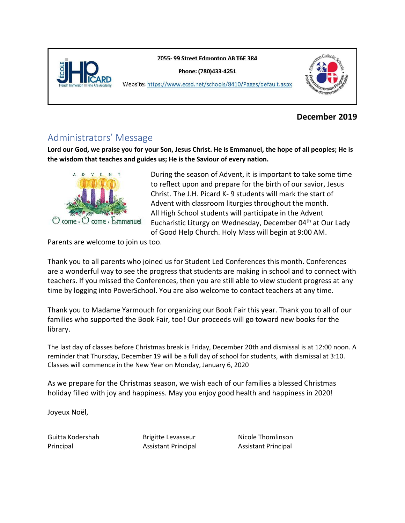

7055-99 Street Edmonton AB T6E 3R4

Phone: (780)433-4251



Website: https://www.ecsd.net/schools/8410/Pages/default.aspx

### **December 2019**

### Administrators' Message

**Lord our God, we praise you for your Son, Jesus Christ. He is Emmanuel, the hope of all peoples; He is the wisdom that teaches and guides us; He is the Saviour of every nation.** 



During the season of Advent, it is important to take some time to reflect upon and prepare for the birth of our savior, Jesus Christ. The J.H. Picard K- 9 students will mark the start of Advent with classroom liturgies throughout the month. All High School students will participate in the Advent Eucharistic Liturgy on Wednesday, December 04<sup>th</sup> at Our Lady of Good Help Church. Holy Mass will begin at 9:00 AM.

Parents are welcome to join us too.

Thank you to all parents who joined us for Student Led Conferences this month. Conferences are a wonderful way to see the progress that students are making in school and to connect with teachers. If you missed the Conferences, then you are still able to view student progress at any time by logging into PowerSchool. You are also welcome to contact teachers at any time.

Thank you to Madame Yarmouch for organizing our Book Fair this year. Thank you to all of our families who supported the Book Fair, too! Our proceeds will go toward new books for the library.

The last day of classes before Christmas break is Friday, December 20th and dismissal is at 12:00 noon. A reminder that Thursday, December 19 will be a full day of school for students, with dismissal at 3:10. Classes will commence in the New Year on Monday, January 6, 2020

As we prepare for the Christmas season, we wish each of our families a blessed Christmas holiday filled with joy and happiness. May you enjoy good health and happiness in 2020!

Joyeux Noël,

Guitta Kodershah **Brigitte Levasseur** Nicole Thomlinson Principal Assistant Principal Assistant Principal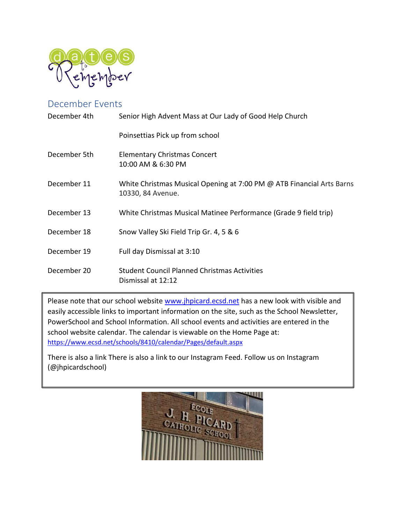

### December Events

| December 4th | Senior High Advent Mass at Our Lady of Good Help Church                                    |
|--------------|--------------------------------------------------------------------------------------------|
|              | Poinsettias Pick up from school                                                            |
| December 5th | <b>Elementary Christmas Concert</b><br>10:00 AM & 6:30 PM                                  |
| December 11  | White Christmas Musical Opening at 7:00 PM @ ATB Financial Arts Barns<br>10330, 84 Avenue. |
| December 13  | White Christmas Musical Matinee Performance (Grade 9 field trip)                           |
| December 18  | Snow Valley Ski Field Trip Gr. 4, 5 & 6                                                    |
| December 19  | Full day Dismissal at 3:10                                                                 |
| December 20  | <b>Student Council Planned Christmas Activities</b><br>Dismissal at 12:12                  |

Please note that our school website [www.jhpicard.ecsd.net](http://www.jhpicard.ecsd.net/) has a new look with visible and easily accessible links to important information on the site, such as the School Newsletter, PowerSchool and School Information. All school events and activities are entered in the school website calendar. The calendar is viewable on the Home Page at: <https://www.ecsd.net/schools/8410/calendar/Pages/default.aspx>

There is also a link There is also a link to our Instagram Feed. Follow us on Instagram (@jhpicardschool)

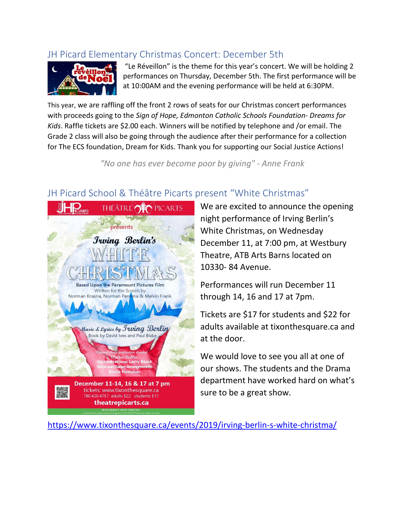# JH Picard Elementary Christmas Concert: December 5th



"Le Réveillon" is the theme for this year's concert. We will be holding 2 performances on Thursday, December 5th. The first performance will be at 10:00AM and the evening performance will be held at 6:30PM.

This year, we are raffling off the front 2 rows of seats for our Christmas concert performances with proceeds going to the *Sign of Hope, Edmonton Catholic Schools Foundation- Dreams for Kids*. Raffle tickets are \$2.00 each. Winners will be notified by telephone and /or email. The Grade 2 class will also be going through the audience after their performance for a collection for The ECS foundation, Dream for Kids. Thank you for supporting our Social Justice Actions!

*"No one has ever become poor by giving" - Anne Frank*

# JH Picard School & Théâtre Picarts present "White Christmas"



We are excited to announce the opening night performance of Irving Berlin's White Christmas, on Wednesday December 11, at 7:00 pm, at Westbury Theatre, ATB Arts Barns located on 10330- 84 Avenue.

Performances will run December 11 through 14, 16 and 17 at 7pm.

Tickets are \$17 for students and \$22 for adults available at tixonthesquare.ca and at the door.

We would love to see you all at one of our shows. The students and the Drama department have worked hard on what's sure to be a great show.

[https://www.tixonthesquare.ca/events/2019/irving-berlin-s-white-christma/](https://can01.safelinks.protection.outlook.com/?url=https%3A%2F%2Fwww.tixonthesquare.ca%2Fevents%2F2019%2Firving-berlin-s-white-christma%2F&data=02%7C01%7CGuitta.Kodershah%40ecsd.net%7Cd06aad4279ab47dfbc9608d773693e09%7Cb18d9f6f0743460da19b0b3297eeeb89%7C0%7C0%7C637104768163996389&sdata=Mxdfhx9nH6GNr1MUtJimnt%2FmqggWtI171pcv%2FO4gBws%3D&reserved=0)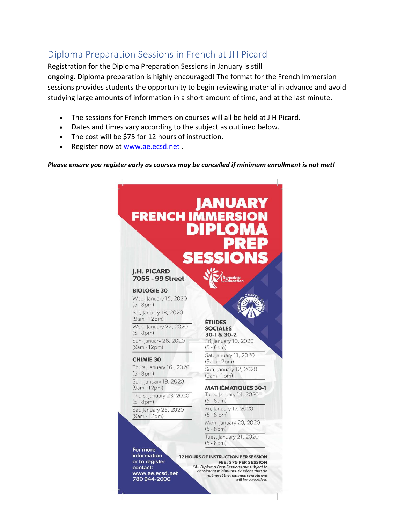# Diploma Preparation Sessions in French at JH Picard

Registration for the Diploma Preparation Sessions in January is still ongoing. Diploma preparation is highly encouraged! The format for the French Immersion sessions provides students the opportunity to begin reviewing material in advance and avoid studying large amounts of information in a short amount of time, and at the last minute.

- The sessions for French Immersion courses will all be held at J H Picard.
- Dates and times vary according to the subject as outlined below.
- The cost will be \$75 for 12 hours of instruction.
- Register now at [www.ae.ecsd.net](http://www.ae.ecsd.net/) .

#### *Please ensure you register early as courses may be cancelled if minimum enrollment is not met!*



www.ae.ecsd.net 780 944-2000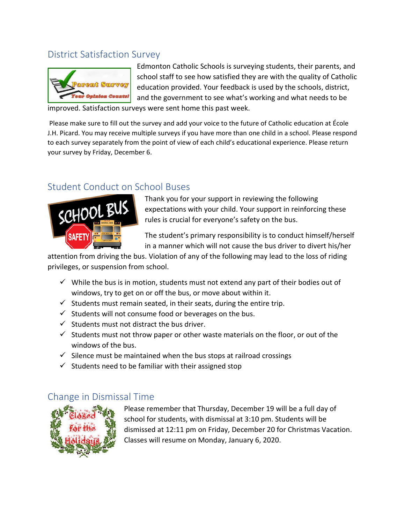### District Satisfaction Survey



Edmonton Catholic Schools is surveying students, their parents, and school staff to see how satisfied they are with the quality of Catholic education provided. Your feedback is used by the schools, district, and the government to see what's working and what needs to be

improved. Satisfaction surveys were sent home this past week.

Please make sure to fill out the survey and add your voice to the future of Catholic education at École J.H. Picard. You may receive multiple surveys if you have more than one child in a school. Please respond to each survey separately from the point of view of each child's educational experience. Please return your survey by Friday, December 6.

### Student Conduct on School Buses



Thank you for your support in reviewing the following expectations with your child. Your support in reinforcing these rules is crucial for everyone's safety on the bus.

The student's primary responsibility is to conduct himself/herself in a manner which will not cause the bus driver to divert his/her

attention from driving the bus. Violation of any of the following may lead to the loss of riding privileges, or suspension from school.

- $\checkmark$  While the bus is in motion, students must not extend any part of their bodies out of windows, try to get on or off the bus, or move about within it.
- $\checkmark$  Students must remain seated, in their seats, during the entire trip.
- $\checkmark$  Students will not consume food or beverages on the bus.
- $\checkmark$  Students must not distract the bus driver.
- $\checkmark$  Students must not throw paper or other waste materials on the floor, or out of the windows of the bus.
- $\checkmark$  Silence must be maintained when the bus stops at railroad crossings
- $\checkmark$  Students need to be familiar with their assigned stop

### Change in Dismissal Time



Please remember that Thursday, December 19 will be a full day of school for students, with dismissal at 3:10 pm. Students will be dismissed at 12:11 pm on Friday, December 20 for Christmas Vacation. Classes will resume on Monday, January 6, 2020.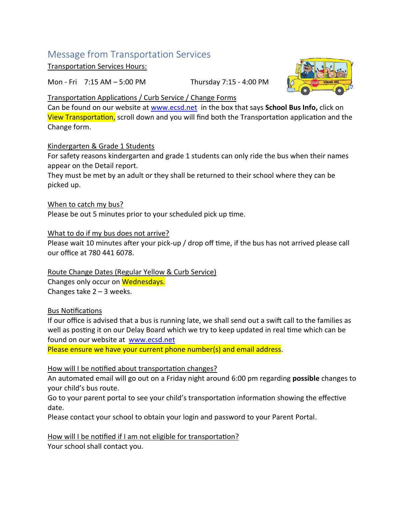# Message from Transportation Services

Transportation Services Hours:

Mon - Fri 7:15 AM – 5:00 PM Thursday 7:15 - 4:00 PM



#### Transportation Applications / Curb Service / Change Forms

Can be found on our website at [www.ecsd.net](http://www.ecsd.net/) in the box that says **School Bus Info,** click on View Transportation, scroll down and you will find both the Transportation application and the Change form.

#### Kindergarten & Grade 1 Students

For safety reasons kindergarten and grade 1 students can only ride the bus when their names appear on the Detail report.

They must be met by an adult or they shall be returned to their school where they can be picked up.

When to catch my bus? Please be out 5 minutes prior to your scheduled pick up time.

What to do if my bus does not arrive?

Please wait 10 minutes after your pick-up / drop off time, if the bus has not arrived please call our office at 780 441 6078.

Route Change Dates (Regular Yellow & Curb Service) Changes only occur on Wednesdays. Changes take  $2 - 3$  weeks.

#### Bus Notifications

If our office is advised that a bus is running late, we shall send out a swift call to the families as well as posting it on our Delay Board which we try to keep updated in real time which can be found on our website at [www.ecsd.net](http://www.ecsd.net/)

Please ensure we have your current phone number(s) and email address.

#### How will I be notified about transportation changes?

An automated email will go out on a Friday night around 6:00 pm regarding **possible** changes to your child's bus route.

Go to your parent portal to see your child's transportation information showing the effective date.

Please contact your school to obtain your login and password to your Parent Portal.

How will I be notified if I am not eligible for transportation?

Your school shall contact you.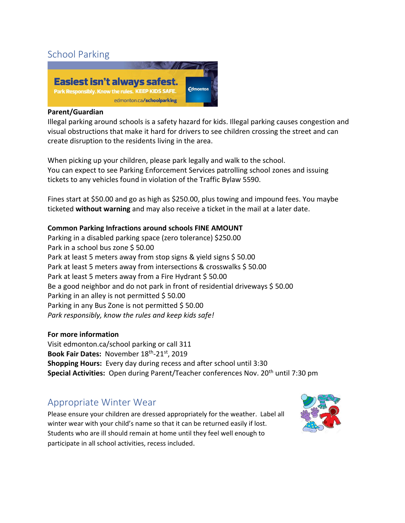# School Parking



#### **Parent/Guardian**

Illegal parking around schools is a safety hazard for kids. Illegal parking causes congestion and visual obstructions that make it hard for drivers to see children crossing the street and can create disruption to the residents living in the area.

When picking up your children, please park legally and walk to the school. You can expect to see Parking Enforcement Services patrolling school zones and issuing tickets to any vehicles found in violation of the Traffic Bylaw 5590.

Fines start at \$50.00 and go as high as \$250.00, plus towing and impound fees. You maybe ticketed **without warning** and may also receive a ticket in the mail at a later date.

#### **Common Parking Infractions around schools FINE AMOUNT**

Parking in a disabled parking space (zero tolerance) \$250.00 Park in a school bus zone \$50.00 Park at least 5 meters away from stop signs & yield signs \$ 50.00 Park at least 5 meters away from intersections & crosswalks \$50.00 Park at least 5 meters away from a Fire Hydrant \$ 50.00 Be a good neighbor and do not park in front of residential driveways \$ 50.00 Parking in an alley is not permitted \$50.00 Parking in any Bus Zone is not permitted \$50.00 *Park responsibly, know the rules and keep kids safe!*

#### **For more information**

Visit edmonton.ca/school parking or call 311 **Book Fair Dates:** November 18th -21st, 2019 **Shopping Hours:** Every day during recess and after school until 3:30 **Special Activities:** Open during Parent/Teacher conferences Nov. 20<sup>th</sup> until 7:30 pm

## Appropriate Winter Wear

Please ensure your children are dressed appropriately for the weather. Label all winter wear with your child's name so that it can be returned easily if lost. Students who are ill should remain at home until they feel well enough to participate in all school activities, recess included.